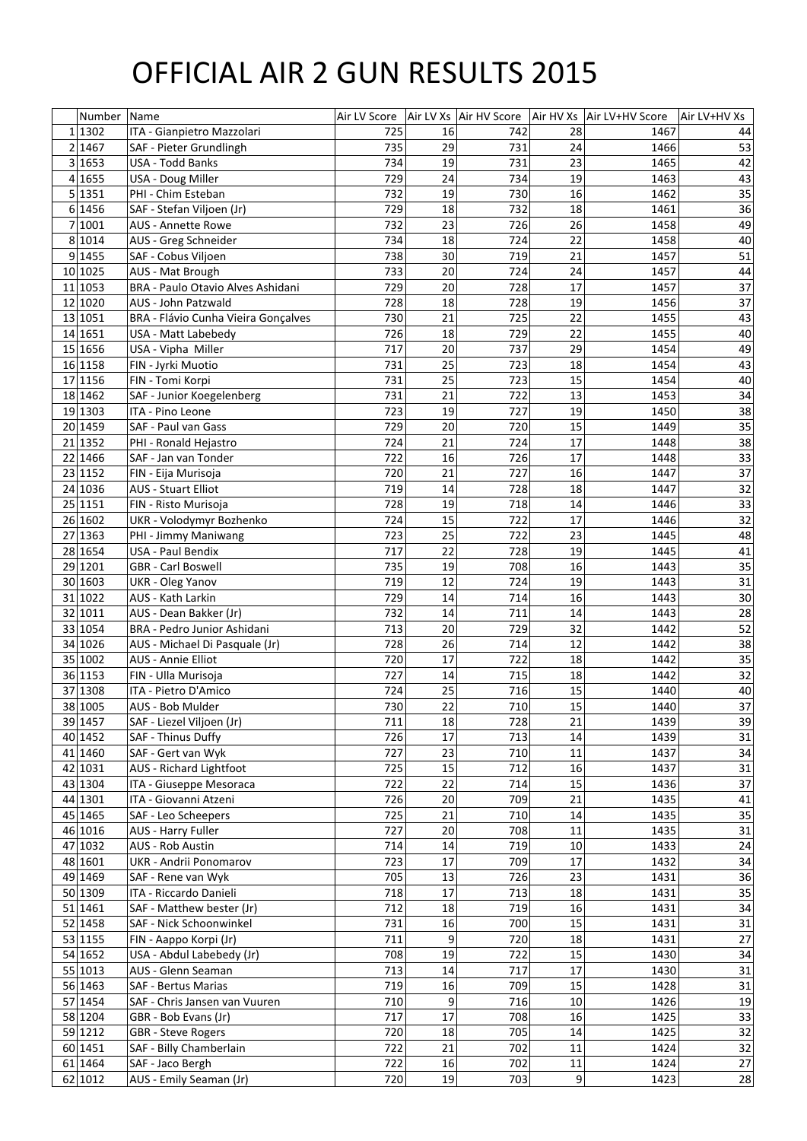## OFFICIAL AIR 2 GUN RESULTS 2015

| Number   | Name                                                 |            |                 |     |    | Air LV Score   Air LV Xs   Air HV Score   Air HV Xs   Air LV+HV Score | Air LV+HV Xs |
|----------|------------------------------------------------------|------------|-----------------|-----|----|-----------------------------------------------------------------------|--------------|
| 1 1302   | ITA - Gianpietro Mazzolari                           | 725        | 16              | 742 | 28 | 1467                                                                  | 44           |
| 2 1467   | SAF - Pieter Grundlingh                              | 735        | 29              | 731 | 24 | 1466                                                                  | 53           |
| 3 1653   | <b>USA - Todd Banks</b>                              | 734        | 19              | 731 | 23 | 1465                                                                  | 42           |
| 4 1655   | USA - Doug Miller                                    | 729        | 24              | 734 | 19 | 1463                                                                  | 43           |
| 5 1351   | PHI - Chim Esteban                                   | 732        | 19              | 730 | 16 | 1462                                                                  | 35           |
| 6 1456   | SAF - Stefan Viljoen (Jr)                            | 729        | 18              | 732 | 18 | 1461                                                                  | 36           |
| 7 1001   | <b>AUS - Annette Rowe</b>                            | 732        | 23              | 726 | 26 | 1458                                                                  | 49           |
| 8 1014   | AUS - Greg Schneider                                 | 734        | 18              | 724 | 22 | 1458                                                                  | 40           |
| 9 1455   | SAF - Cobus Viljoen                                  | 738        | 30              | 719 | 21 | 1457                                                                  | 51           |
| 10 1025  | AUS - Mat Brough                                     | 733        | 20              | 724 | 24 | 1457                                                                  | 44           |
| 11 1053  | <b>BRA - Paulo Otavio Alves Ashidani</b>             | 729        | 20              | 728 | 17 | 1457                                                                  | 37           |
| 12 1020  | <b>AUS - John Patzwald</b>                           | 728        | 18              | 728 | 19 | 1456                                                                  | 37           |
| 13 1051  | <b>BRA - Flávio Cunha Vieira Gonçalves</b>           | 730        | 21              | 725 | 22 | 1455                                                                  | 43           |
| 14 1651  | USA - Matt Labebedy                                  | 726        | 18              | 729 | 22 | 1455                                                                  | 40           |
| 15 1656  | USA - Vipha Miller                                   | 717        | 20              | 737 | 29 | 1454                                                                  | 49           |
| 16 1158  | FIN - Jyrki Muotio                                   | 731        | 25              | 723 | 18 | 1454                                                                  | 43           |
| 17 1156  | FIN - Tomi Korpi                                     | 731        | 25              | 723 | 15 | 1454                                                                  | 40           |
| 18 14 62 | SAF - Junior Koegelenberg                            | 731        | 21              | 722 | 13 | 1453                                                                  | 34           |
| 19 1303  | ITA - Pino Leone                                     | 723        | 19              | 727 | 19 | 1450                                                                  | 38           |
| 20 1459  | SAF - Paul van Gass                                  | 729        | 20              | 720 | 15 | 1449                                                                  | 35           |
| 21 1352  | PHI - Ronald Hejastro                                | 724        | 21              | 724 | 17 | 1448                                                                  | 38           |
| 22 1466  | SAF - Jan van Tonder                                 | 722        | 16              | 726 | 17 | 1448                                                                  | 33           |
| 23 1152  | FIN - Eija Murisoja                                  | 720        | 21              | 727 | 16 | 1447                                                                  | 37           |
| 24 1036  | <b>AUS - Stuart Elliot</b>                           | 719        | 14              | 728 | 18 | 1447                                                                  | 32           |
| 25 1151  | FIN - Risto Murisoja                                 | 728        | 19              | 718 | 14 | 1446                                                                  | 33           |
| 26 1602  | UKR - Volodymyr Bozhenko                             | 724        | 15              | 722 | 17 | 1446                                                                  | 32           |
| 27 1363  | PHI - Jimmy Maniwang                                 | 723        | 25              | 722 | 23 | 1445                                                                  | 48           |
| 28 1654  | <b>USA - Paul Bendix</b>                             | 717        | 22              | 728 | 19 | 1445                                                                  | 41           |
| 29 1201  | <b>GBR</b> - Carl Boswell                            | 735        | 19              | 708 | 16 | 1443                                                                  | 35           |
| 30 1603  | <b>UKR</b> - Oleg Yanov                              | 719        | 12              | 724 | 19 | 1443                                                                  | 31           |
| 31 1022  | <b>AUS - Kath Larkin</b>                             | 729        | 14              | 714 | 16 | 1443                                                                  | 30           |
| 32 1011  | AUS - Dean Bakker (Jr)                               | 732        | 14              | 711 | 14 | 1443                                                                  | 28           |
| 33 1054  | <b>BRA - Pedro Junior Ashidani</b>                   | 713        | 20              | 729 | 32 | 1442                                                                  | 52           |
| 34 1026  | AUS - Michael Di Pasquale (Jr)                       | 728        | 26              | 714 | 12 | 1442                                                                  | 38           |
| 35 1002  | <b>AUS - Annie Elliot</b>                            | 720        | 17              | 722 | 18 | 1442                                                                  | 35           |
| 36 1153  | FIN - Ulla Murisoja                                  | 727        | 14              | 715 | 18 | 1442                                                                  | 32           |
| 37 1308  | ITA - Pietro D'Amico                                 | 724        | 25              | 716 | 15 | 1440                                                                  | 40           |
| 38 1005  | AUS - Bob Mulder                                     | 730        | 22              | 710 | 15 | 1440                                                                  | 37           |
| 39 1457  | SAF - Liezel Viljoen (Jr)                            | 711        | 18              | 728 | 21 | 1439                                                                  | 39           |
| 40 1452  | SAF - Thinus Duffy                                   | 726        | 17              | 713 | 14 | 1439                                                                  | 31           |
| 41 1460  | SAF - Gert van Wyk                                   | 727        | 23              | 710 | 11 | 1437                                                                  | 34           |
| 42 1031  | <b>AUS</b> - Richard Lightfoot                       | 725        | 15              | 712 | 16 | 1437                                                                  | 31           |
| 43 1304  | ITA - Giuseppe Mesoraca                              | 722        | 22              | 714 | 15 | 1436                                                                  | 37           |
| 44 1301  | ITA - Giovanni Atzeni                                | 726        | 20              | 709 | 21 | 1435                                                                  | 41           |
| 45 1465  | SAF - Leo Scheepers                                  | 725        | 21              | 710 | 14 | 1435                                                                  | 35           |
| 46 1016  | <b>AUS - Harry Fuller</b>                            | 727        | 20              | 708 | 11 | 1435                                                                  | 31           |
| 47 1032  | <b>AUS - Rob Austin</b>                              | 714        | 14              | 719 | 10 | 1433                                                                  | 24           |
| 48 1601  | <b>UKR</b> - Andrii Ponomarov                        | 723        | 17              | 709 | 17 | 1432                                                                  | 34           |
| 49 1469  | SAF - Rene van Wyk                                   | 705        | 13              | 726 | 23 | 1431                                                                  | 36           |
| 50 1309  | ITA - Riccardo Danieli                               | 718        | 17              | 713 | 18 | 1431                                                                  | 35           |
| 51 1461  |                                                      |            | 18              | 719 | 16 |                                                                       |              |
| 52 1458  | SAF - Matthew bester (Jr)<br>SAF - Nick Schoonwinkel | 712<br>731 | 16              | 700 | 15 | 1431<br>1431                                                          | 34<br>31     |
| 53 1155  |                                                      | 711        | 9               | 720 | 18 | 1431                                                                  | 27           |
|          | FIN - Aappo Korpi (Jr)                               |            |                 |     |    |                                                                       |              |
| 54 1652  | USA - Abdul Labebedy (Jr)                            | 708        | 19              | 722 | 15 | 1430                                                                  | 34           |
| 55 1013  | AUS - Glenn Seaman                                   | 713        | 14 <sub>1</sub> | 717 | 17 | 1430                                                                  | 31           |
| 56 1463  | <b>SAF - Bertus Marias</b>                           | 719        | 16              | 709 | 15 | 1428                                                                  | 31           |
| 57 1454  | SAF - Chris Jansen van Vuuren                        | 710        | 9               | 716 | 10 | 1426                                                                  | 19           |
| 58 1204  | GBR - Bob Evans (Jr)                                 | 717        | 17              | 708 | 16 | 1425                                                                  | 33           |
| 59 1212  | <b>GBR</b> - Steve Rogers                            | 720        | 18              | 705 | 14 | 1425                                                                  | 32           |
| 60 1451  | SAF - Billy Chamberlain                              | 722        | 21              | 702 | 11 | 1424                                                                  | 32           |
| 61 1464  | SAF - Jaco Bergh                                     | 722        | 16              | 702 | 11 | 1424                                                                  | 27           |
| 62 1012  | AUS - Emily Seaman (Jr)                              | 720        | 19              | 703 | 9  | 1423                                                                  | 28           |